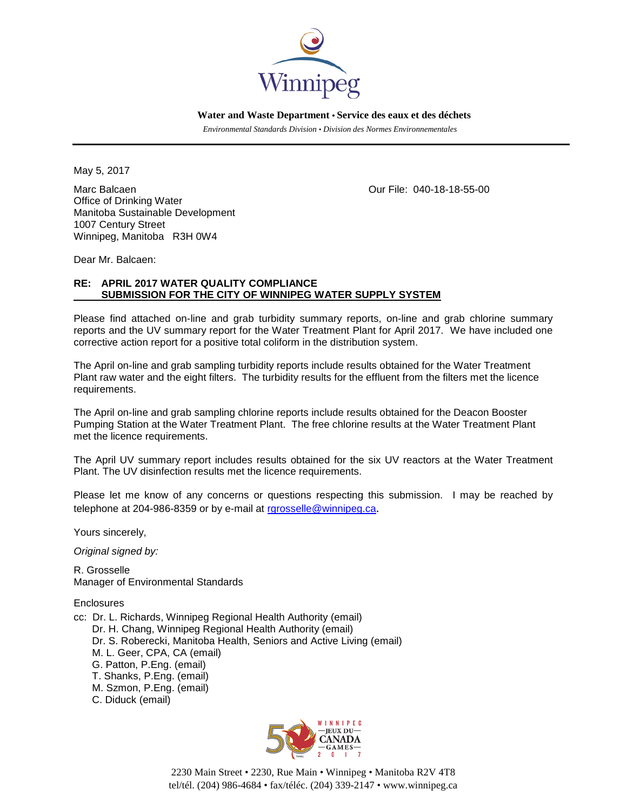

 **Water and Waste Department • Service des eaux et des déchets**

 *Environmental Standards Division • Division des Normes Environnementales*

May 5, 2017

Marc Balcaen Our File: 040-18-18-55-00 Office of Drinking Water Manitoba Sustainable Development 1007 Century Street Winnipeg, Manitoba R3H 0W4

Dear Mr. Balcaen:

## **RE: APRIL 2017 WATER QUALITY COMPLIANCE SUBMISSION FOR THE CITY OF WINNIPEG WATER SUPPLY SYSTEM**

Please find attached on-line and grab turbidity summary reports, on-line and grab chlorine summary reports and the UV summary report for the Water Treatment Plant for April 2017. We have included one corrective action report for a positive total coliform in the distribution system.

The April on-line and grab sampling turbidity reports include results obtained for the Water Treatment Plant raw water and the eight filters. The turbidity results for the effluent from the filters met the licence requirements.

The April on-line and grab sampling chlorine reports include results obtained for the Deacon Booster Pumping Station at the Water Treatment Plant. The free chlorine results at the Water Treatment Plant met the licence requirements.

The April UV summary report includes results obtained for the six UV reactors at the Water Treatment Plant. The UV disinfection results met the licence requirements.

Please let me know of any concerns or questions respecting this submission. I may be reached by telephone at 204-986-8359 or by e-mail at [rgrosselle@winnipeg.ca](mailto:rgrosselle@winnipeg.ca).

Yours sincerely,

*Original signed by:*

R. Grosselle Manager of Environmental Standards

**Enclosures** 

- cc: Dr. L. Richards, Winnipeg Regional Health Authority (email)
	- Dr. H. Chang, Winnipeg Regional Health Authority (email)
	- Dr. S. Roberecki, Manitoba Health, Seniors and Active Living (email)
	- M. L. Geer, CPA, CA (email)
	- G. Patton, P.Eng. (email)
	- T. Shanks, P.Eng. (email)
	- M. Szmon, P.Eng. (email)
	- C. Diduck (email)



2230 Main Street • 2230, Rue Main • Winnipeg • Manitoba R2V 4T8 tel/tél. (204) 986-4684 • fax/téléc. (204) 339-2147 • www.winnipeg.ca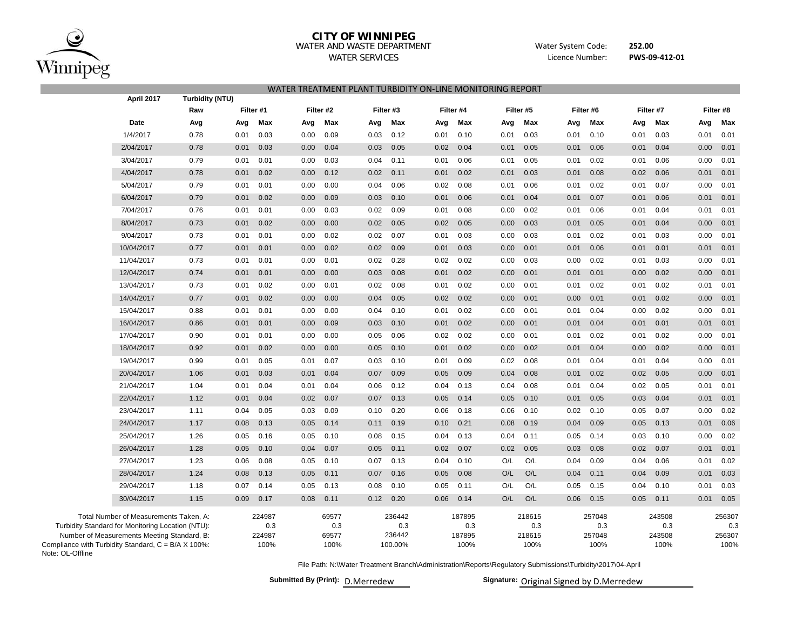

Note: OL-Offline

# **CITY OF WINNIPEG**

### WATER AND WASTE DEPARTMENT

WATER SERVICES

**252.00** Water System Code: Licence Number:

**PWS‐09‐412‐01**

| April 2017                                                                                                                                                                                        | Turbidity (NTU) |           |                                 |      |                               |      |                                    |      |                                 |      |                                 |      |                                 |           |                                 |      |                                 |
|---------------------------------------------------------------------------------------------------------------------------------------------------------------------------------------------------|-----------------|-----------|---------------------------------|------|-------------------------------|------|------------------------------------|------|---------------------------------|------|---------------------------------|------|---------------------------------|-----------|---------------------------------|------|---------------------------------|
|                                                                                                                                                                                                   | Raw             | Filter #1 |                                 |      | Filter #2                     |      | Filter #3                          |      | Filter #4                       |      | Filter #5                       |      | Filter #6                       | Filter #7 |                                 |      | Filter #8                       |
| Date                                                                                                                                                                                              | Avg             | Avg       | Max                             | Avg  | Max                           | Avg  | Max                                | Avg  | Max                             | Avg  | Max                             | Avg  | Max                             | Avg       | Max                             | Avg  | Max                             |
| 1/4/2017                                                                                                                                                                                          | 0.78            | 0.01      | 0.03                            | 0.00 | 0.09                          | 0.03 | 0.12                               | 0.01 | 0.10                            | 0.01 | 0.03                            | 0.01 | 0.10                            | 0.01      | 0.03                            | 0.01 | 0.01                            |
| 2/04/2017                                                                                                                                                                                         | 0.78            | 0.01      | 0.03                            | 0.00 | 0.04                          | 0.03 | 0.05                               | 0.02 | 0.04                            | 0.01 | 0.05                            | 0.01 | 0.06                            | 0.01      | 0.04                            | 0.00 | 0.01                            |
| 3/04/2017                                                                                                                                                                                         | 0.79            | 0.01      | 0.01                            | 0.00 | 0.03                          | 0.04 | 0.11                               | 0.01 | 0.06                            | 0.01 | 0.05                            | 0.01 | 0.02                            | 0.01      | 0.06                            | 0.00 | 0.01                            |
| 4/04/2017                                                                                                                                                                                         | 0.78            | 0.01      | 0.02                            | 0.00 | 0.12                          | 0.02 | 0.11                               | 0.01 | 0.02                            | 0.01 | 0.03                            | 0.01 | 0.08                            | 0.02      | 0.06                            | 0.01 | 0.01                            |
| 5/04/2017                                                                                                                                                                                         | 0.79            | 0.01      | 0.01                            | 0.00 | 0.00                          | 0.04 | 0.06                               | 0.02 | 0.08                            | 0.01 | 0.06                            | 0.01 | 0.02                            | 0.01      | 0.07                            | 0.00 | 0.01                            |
| 6/04/2017                                                                                                                                                                                         | 0.79            | 0.01      | 0.02                            | 0.00 | 0.09                          | 0.03 | 0.10                               | 0.01 | 0.06                            | 0.01 | 0.04                            | 0.01 | 0.07                            | 0.01      | 0.06                            | 0.01 | 0.01                            |
| 7/04/2017                                                                                                                                                                                         | 0.76            | 0.01      | 0.01                            | 0.00 | 0.03                          | 0.02 | 0.09                               | 0.01 | 0.08                            | 0.00 | 0.02                            | 0.01 | 0.06                            | 0.01      | 0.04                            | 0.01 | 0.01                            |
| 8/04/2017                                                                                                                                                                                         | 0.73            | 0.01      | 0.02                            | 0.00 | 0.00                          | 0.02 | 0.05                               | 0.02 | 0.05                            | 0.00 | 0.03                            | 0.01 | 0.05                            | 0.01      | 0.04                            | 0.00 | 0.01                            |
| 9/04/2017                                                                                                                                                                                         | 0.73            | 0.01      | 0.01                            | 0.00 | 0.02                          | 0.02 | 0.07                               | 0.01 | 0.03                            | 0.00 | 0.03                            | 0.01 | 0.02                            | 0.01      | 0.03                            | 0.00 | 0.01                            |
| 10/04/2017                                                                                                                                                                                        | 0.77            | 0.01      | 0.01                            | 0.00 | 0.02                          | 0.02 | 0.09                               | 0.01 | 0.03                            | 0.00 | 0.01                            | 0.01 | 0.06                            | 0.01      | 0.01                            | 0.01 | 0.01                            |
| 11/04/2017                                                                                                                                                                                        | 0.73            | 0.01      | 0.01                            | 0.00 | 0.01                          | 0.02 | 0.28                               | 0.02 | 0.02                            | 0.00 | 0.03                            | 0.00 | 0.02                            | 0.01      | 0.03                            | 0.00 | 0.01                            |
| 12/04/2017                                                                                                                                                                                        | 0.74            | 0.01      | 0.01                            | 0.00 | 0.00                          | 0.03 | 0.08                               | 0.01 | 0.02                            | 0.00 | 0.01                            | 0.01 | 0.01                            | 0.00      | 0.02                            | 0.00 | 0.01                            |
| 13/04/2017                                                                                                                                                                                        | 0.73            | 0.01      | 0.02                            | 0.00 | 0.01                          | 0.02 | 0.08                               | 0.01 | 0.02                            | 0.00 | 0.01                            | 0.01 | 0.02                            | 0.01      | 0.02                            | 0.01 | 0.01                            |
| 14/04/2017                                                                                                                                                                                        | 0.77            | 0.01      | 0.02                            | 0.00 | 0.00                          | 0.04 | 0.05                               | 0.02 | 0.02                            | 0.00 | 0.01                            | 0.00 | 0.01                            | 0.01      | 0.02                            | 0.00 | 0.01                            |
| 15/04/2017                                                                                                                                                                                        | 0.88            | 0.01      | 0.01                            | 0.00 | 0.00                          | 0.04 | 0.10                               | 0.01 | 0.02                            | 0.00 | 0.01                            | 0.01 | 0.04                            | 0.00      | 0.02                            | 0.00 | 0.01                            |
| 16/04/2017                                                                                                                                                                                        | 0.86            | 0.01      | 0.01                            | 0.00 | 0.09                          | 0.03 | 0.10                               | 0.01 | 0.02                            | 0.00 | 0.01                            | 0.01 | 0.04                            | 0.01      | 0.01                            | 0.01 | 0.01                            |
| 17/04/2017                                                                                                                                                                                        | 0.90            | 0.01      | 0.01                            | 0.00 | 0.00                          | 0.05 | 0.06                               | 0.02 | 0.02                            | 0.00 | 0.01                            | 0.01 | 0.02                            | 0.01      | 0.02                            | 0.00 | 0.01                            |
| 18/04/2017                                                                                                                                                                                        | 0.92            | 0.01      | 0.02                            | 0.00 | 0.00                          | 0.05 | 0.10                               | 0.01 | 0.02                            | 0.00 | 0.02                            | 0.01 | 0.04                            | 0.00      | 0.02                            | 0.00 | 0.01                            |
| 19/04/2017                                                                                                                                                                                        | 0.99            | 0.01      | 0.05                            | 0.01 | 0.07                          | 0.03 | 0.10                               | 0.01 | 0.09                            | 0.02 | 0.08                            | 0.01 | 0.04                            | 0.01      | 0.04                            | 0.00 | 0.01                            |
| 20/04/2017                                                                                                                                                                                        | 1.06            | 0.01      | 0.03                            | 0.01 | 0.04                          | 0.07 | 0.09                               | 0.05 | 0.09                            | 0.04 | 0.08                            | 0.01 | 0.02                            | 0.02      | 0.05                            | 0.00 | 0.01                            |
| 21/04/2017                                                                                                                                                                                        | 1.04            | 0.01      | 0.04                            | 0.01 | 0.04                          | 0.06 | 0.12                               | 0.04 | 0.13                            | 0.04 | 0.08                            | 0.01 | 0.04                            | 0.02      | 0.05                            | 0.01 | 0.01                            |
| 22/04/2017                                                                                                                                                                                        | 1.12            | 0.01      | 0.04                            | 0.02 | 0.07                          | 0.07 | 0.13                               | 0.05 | 0.14                            | 0.05 | 0.10                            | 0.01 | 0.05                            | 0.03      | 0.04                            | 0.01 | 0.01                            |
| 23/04/2017                                                                                                                                                                                        | 1.11            | 0.04      | 0.05                            | 0.03 | 0.09                          | 0.10 | 0.20                               | 0.06 | 0.18                            | 0.06 | 0.10                            | 0.02 | 0.10                            | 0.05      | 0.07                            | 0.00 | 0.02                            |
| 24/04/2017                                                                                                                                                                                        | 1.17            | 0.08      | 0.13                            | 0.05 | 0.14                          | 0.11 | 0.19                               | 0.10 | 0.21                            | 0.08 | 0.19                            | 0.04 | 0.09                            | 0.05      | 0.13                            | 0.01 | 0.06                            |
| 25/04/2017                                                                                                                                                                                        | 1.26            | 0.05      | 0.16                            | 0.05 | 0.10                          | 0.08 | 0.15                               | 0.04 | 0.13                            | 0.04 | 0.11                            | 0.05 | 0.14                            | 0.03      | 0.10                            | 0.00 | 0.02                            |
| 26/04/2017                                                                                                                                                                                        | 1.28            | 0.05      | 0.10                            | 0.04 | 0.07                          | 0.05 | 0.11                               | 0.02 | 0.07                            | 0.02 | 0.05                            | 0.03 | 0.08                            | 0.02      | 0.07                            | 0.01 | 0.01                            |
| 27/04/2017                                                                                                                                                                                        | 1.23            | 0.06      | 0.08                            | 0.05 | 0.10                          | 0.07 | 0.13                               | 0.04 | 0.10                            | O/L  | O/L                             | 0.04 | 0.09                            | 0.04      | 0.06                            | 0.01 | 0.02                            |
| 28/04/2017                                                                                                                                                                                        | 1.24            | 0.08      | 0.13                            | 0.05 | 0.11                          | 0.07 | 0.16                               | 0.05 | 0.08                            | O/L  | O/L                             | 0.04 | 0.11                            | 0.04      | 0.09                            | 0.01 | 0.03                            |
| 29/04/2017                                                                                                                                                                                        | 1.18            | 0.07      | 0.14                            | 0.05 | 0.13                          | 0.08 | 0.10                               | 0.05 | 0.11                            | O/L  | O/L                             | 0.05 | 0.15                            | 0.04      | 0.10                            | 0.01 | 0.03                            |
| 30/04/2017                                                                                                                                                                                        | 1.15            | 0.09      | 0.17                            | 0.08 | 0.11                          | 0.12 | 0.20                               | 0.06 | 0.14                            | O/L  | O/L                             | 0.06 | 0.15                            | 0.05      | 0.11                            | 0.01 | 0.05                            |
| Total Number of Measurements Taken, A:<br>Turbidity Standard for Monitoring Location (NTU):<br>Number of Measurements Meeting Standard, B:<br>Compliance with Turbidity Standard, C = B/A X 100%: |                 |           | 224987<br>0.3<br>224987<br>100% |      | 69577<br>0.3<br>69577<br>100% |      | 236442<br>0.3<br>236442<br>100.00% |      | 187895<br>0.3<br>187895<br>100% |      | 218615<br>0.3<br>218615<br>100% |      | 257048<br>0.3<br>257048<br>100% |           | 243508<br>0.3<br>243508<br>100% |      | 256307<br>0.3<br>256307<br>100% |

WATER TREATMENT PLANT TURBIDITY ON‐LINE MONITORING REPORT

File Path: N:\Water Treatment Branch\Administration\Reports\Regulatory Submissions\Turbidity\2017\04-April

Submitted By (Print): D.Merredew

**Signature:** Original Signed by D.Merredew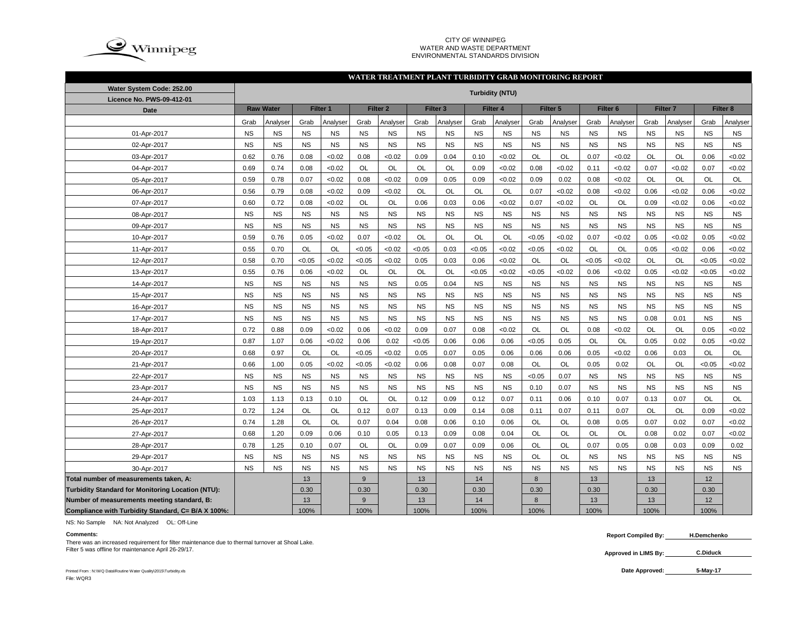

#### CITY OF WINNIPEG WATER AND WASTE DEPARTMENTENVIRONMENTAL STANDARDS DIVISION

#### **WATER TREATMENT PLANT TURBIDITY GRAB MONITORING REPORT**

| Water System Code: 252.00                          |           |                  |           |                     |           |                     |           |                     |           | <b>Turbidity (NTU)</b> |           |                     |           |                     |           |                     |           |                     |
|----------------------------------------------------|-----------|------------------|-----------|---------------------|-----------|---------------------|-----------|---------------------|-----------|------------------------|-----------|---------------------|-----------|---------------------|-----------|---------------------|-----------|---------------------|
| Licence No. PWS-09-412-01                          |           |                  |           |                     |           |                     |           |                     |           |                        |           |                     |           |                     |           |                     |           |                     |
| <b>Date</b>                                        |           | <b>Raw Water</b> |           | Filter <sub>1</sub> |           | Filter <sub>2</sub> |           | Filter <sub>3</sub> |           | Filter <sub>4</sub>    |           | Filter <sub>5</sub> |           | Filter <sub>6</sub> |           | Filter <sub>7</sub> |           | Filter <sub>8</sub> |
|                                                    | Grab      | Analyser         | Grab      | Analyser            | Grab      | Analyser            | Grab      | Analyser            | Grab      | Analyser               | Grab      | Analyser            | Grab      | Analyser            | Grab      | Analyser            | Grab      | Analyser            |
| 01-Apr-2017                                        | <b>NS</b> | <b>NS</b>        | <b>NS</b> | <b>NS</b>           | <b>NS</b> | <b>NS</b>           | <b>NS</b> | <b>NS</b>           | <b>NS</b> | <b>NS</b>              | <b>NS</b> | <b>NS</b>           | <b>NS</b> | <b>NS</b>           | <b>NS</b> | <b>NS</b>           | <b>NS</b> | <b>NS</b>           |
| 02-Apr-2017                                        | <b>NS</b> | <b>NS</b>        | <b>NS</b> | <b>NS</b>           | <b>NS</b> | <b>NS</b>           | <b>NS</b> | <b>NS</b>           | <b>NS</b> | <b>NS</b>              | <b>NS</b> | <b>NS</b>           | <b>NS</b> | <b>NS</b>           | <b>NS</b> | <b>NS</b>           | <b>NS</b> | <b>NS</b>           |
| 03-Apr-2017                                        | 0.62      | 0.76             | 0.08      | <0.02               | 0.08      | <0.02               | 0.09      | 0.04                | 0.10      | < 0.02                 | <b>OL</b> | OL                  | 0.07      | <0.02               | OL        | OL                  | 0.06      | <0.02               |
| 04-Apr-2017                                        | 0.69      | 0.74             | 0.08      | <0.02               | OL        | OL                  | <b>OL</b> | OL                  | 0.09      | < 0.02                 | 0.08      | <0.02               | 0.11      | < 0.02              | 0.07      | <0.02               | 0.07      | <0.02               |
| 05-Apr-2017                                        | 0.59      | 0.78             | 0.07      | <0.02               | 0.08      | <0.02               | 0.09      | 0.05                | 0.09      | < 0.02                 | 0.09      | 0.02                | 0.08      | < 0.02              | OL        | OL                  | OL        | OL                  |
| 06-Apr-2017                                        | 0.56      | 0.79             | 0.08      | <0.02               | 0.09      | <0.02               | <b>OL</b> | OL                  | <b>OL</b> | OL                     | 0.07      | <0.02               | 0.08      | < 0.02              | 0.06      | <0.02               | 0.06      | <0.02               |
| 07-Apr-2017                                        | 0.60      | 0.72             | 0.08      | <0.02               | OL        | <b>OL</b>           | 0.06      | 0.03                | 0.06      | < 0.02                 | 0.07      | <0.02               | OL        | OL                  | 0.09      | <0.02               | 0.06      | <0.02               |
| 08-Apr-2017                                        | <b>NS</b> | <b>NS</b>        | <b>NS</b> | <b>NS</b>           | <b>NS</b> | <b>NS</b>           | <b>NS</b> | <b>NS</b>           | <b>NS</b> | <b>NS</b>              | <b>NS</b> | <b>NS</b>           | <b>NS</b> | <b>NS</b>           | <b>NS</b> | <b>NS</b>           | <b>NS</b> | <b>NS</b>           |
| 09-Apr-2017                                        | <b>NS</b> | <b>NS</b>        | <b>NS</b> | <b>NS</b>           | <b>NS</b> | NS                  | <b>NS</b> | <b>NS</b>           | <b>NS</b> | <b>NS</b>              | <b>NS</b> | <b>NS</b>           | <b>NS</b> | <b>NS</b>           | <b>NS</b> | <b>NS</b>           | <b>NS</b> | <b>NS</b>           |
| 10-Apr-2017                                        | 0.59      | 0.76             | 0.05      | <0.02               | 0.07      | < 0.02              | OL        | OL                  | OL        | OL                     | <0.05     | <0.02               | 0.07      | < 0.02              | 0.05      | <0.02               | 0.05      | <0.02               |
| 11-Apr-2017                                        | 0.55      | 0.70             | OL        | OL                  | < 0.05    | < 0.02              | < 0.05    | 0.03                | < 0.05    | <0.02                  | < 0.05    | <0.02               | OL        | OL                  | 0.05      | < 0.02              | 0.06      | <0.02               |
| 12-Apr-2017                                        | 0.58      | 0.70             | < 0.05    | <0.02               | < 0.05    | < 0.02              | 0.05      | 0.03                | 0.06      | < 0.02                 | OL        | OL                  | < 0.05    | < 0.02              | OL        | <b>OL</b>           | < 0.05    | <0.02               |
| 13-Apr-2017                                        | 0.55      | 0.76             | 0.06      | <0.02               | OL        | OL                  | OL        | OL                  | < 0.05    | < 0.02                 | <0.05     | <0.02               | 0.06      | < 0.02              | 0.05      | <0.02               | < 0.05    | <0.02               |
| 14-Apr-2017                                        | <b>NS</b> | <b>NS</b>        | <b>NS</b> | <b>NS</b>           | <b>NS</b> | <b>NS</b>           | 0.05      | 0.04                | <b>NS</b> | <b>NS</b>              | <b>NS</b> | <b>NS</b>           | <b>NS</b> | <b>NS</b>           | <b>NS</b> | <b>NS</b>           | <b>NS</b> | <b>NS</b>           |
| 15-Apr-2017                                        | NS        | <b>NS</b>        | <b>NS</b> | <b>NS</b>           | <b>NS</b> | <b>NS</b>           | <b>NS</b> | <b>NS</b>           | <b>NS</b> | <b>NS</b>              | <b>NS</b> | <b>NS</b>           | <b>NS</b> | <b>NS</b>           | <b>NS</b> | <b>NS</b>           | <b>NS</b> | $_{\rm NS}$         |
| 16-Apr-2017                                        | <b>NS</b> | <b>NS</b>        | <b>NS</b> | <b>NS</b>           | <b>NS</b> | <b>NS</b>           | <b>NS</b> | <b>NS</b>           | <b>NS</b> | <b>NS</b>              | <b>NS</b> | <b>NS</b>           | <b>NS</b> | <b>NS</b>           | <b>NS</b> | <b>NS</b>           | <b>NS</b> | <b>NS</b>           |
| 17-Apr-2017                                        | NS        | <b>NS</b>        | <b>NS</b> | <b>NS</b>           | <b>NS</b> | <b>NS</b>           | <b>NS</b> | <b>NS</b>           | <b>NS</b> | <b>NS</b>              | <b>NS</b> | <b>NS</b>           | <b>NS</b> | <b>NS</b>           | 0.08      | 0.01                | <b>NS</b> | <b>NS</b>           |
| 18-Apr-2017                                        | 0.72      | 0.88             | 0.09      | <0.02               | 0.06      | < 0.02              | 0.09      | 0.07                | 0.08      | < 0.02                 | OL        | OL                  | 0.08      | <0.02               | OL        | OL                  | 0.05      | < 0.02              |
| 19-Apr-2017                                        | 0.87      | 1.07             | 0.06      | <0.02               | 0.06      | 0.02                | < 0.05    | 0.06                | 0.06      | 0.06                   | <0.05     | 0.05                | OL        | <b>OL</b>           | 0.05      | 0.02                | 0.05      | <0.02               |
| 20-Apr-2017                                        | 0.68      | 0.97             | OL        | OL                  | < 0.05    | <0.02               | 0.05      | 0.07                | 0.05      | 0.06                   | 0.06      | 0.06                | 0.05      | <0.02               | 0.06      | 0.03                | OL        | OL                  |
| 21-Apr-2017                                        | 0.66      | 1.00             | 0.05      | <0.02               | < 0.05    | < 0.02              | 0.06      | 0.08                | 0.07      | 0.08                   | OL        | OL                  | 0.05      | 0.02                | OL        | OL                  | < 0.05    | <0.02               |
| 22-Apr-2017                                        | NS        | <b>NS</b>        | <b>NS</b> | <b>NS</b>           | <b>NS</b> | NS                  | <b>NS</b> | <b>NS</b>           | <b>NS</b> | <b>NS</b>              | < 0.05    | 0.07                | <b>NS</b> | <b>NS</b>           | <b>NS</b> | <b>NS</b>           | <b>NS</b> | $_{\rm NS}$         |
| 23-Apr-2017                                        | NS        | <b>NS</b>        | <b>NS</b> | <b>NS</b>           | <b>NS</b> | NS                  | <b>NS</b> | <b>NS</b>           | <b>NS</b> | <b>NS</b>              | 0.10      | 0.07                | <b>NS</b> | <b>NS</b>           | <b>NS</b> | <b>NS</b>           | <b>NS</b> | $_{\rm NS}$         |
| 24-Apr-2017                                        | 1.03      | 1.13             | 0.13      | 0.10                | OL        | OL                  | 0.12      | 0.09                | 0.12      | 0.07                   | 0.11      | 0.06                | 0.10      | 0.07                | 0.13      | 0.07                | OL        | OL                  |
| 25-Apr-2017                                        | 0.72      | 1.24             | OL        | OL                  | 0.12      | 0.07                | 0.13      | 0.09                | 0.14      | 0.08                   | 0.11      | 0.07                | 0.11      | 0.07                | OL        | OL                  | 0.09      | < 0.02              |
| 26-Apr-2017                                        | 0.74      | 1.28             | OL        | OL                  | 0.07      | 0.04                | 0.08      | 0.06                | 0.10      | 0.06                   | OL        | OL                  | 0.08      | 0.05                | 0.07      | 0.02                | 0.07      | < 0.02              |
| 27-Apr-2017                                        | 0.68      | 1.20             | 0.09      | 0.06                | 0.10      | 0.05                | 0.13      | 0.09                | 0.08      | 0.04                   | OL        | OL                  | OL        | OL                  | 0.08      | 0.02                | 0.07      | < 0.02              |
| 28-Apr-2017                                        | 0.78      | 1.25             | 0.10      | 0.07                | OL        | OL                  | 0.09      | 0.07                | 0.09      | 0.06                   | OL        | OL                  | 0.07      | 0.05                | 0.08      | 0.03                | 0.09      | 0.02                |
| 29-Apr-2017                                        | <b>NS</b> | <b>NS</b>        | <b>NS</b> | <b>NS</b>           | <b>NS</b> | <b>NS</b>           | <b>NS</b> | <b>NS</b>           | <b>NS</b> | <b>NS</b>              | OL        | OL                  | <b>NS</b> | <b>NS</b>           | <b>NS</b> | <b>NS</b>           | <b>NS</b> | <b>NS</b>           |
| 30-Apr-2017                                        | <b>NS</b> | <b>NS</b>        | <b>NS</b> | <b>NS</b>           | <b>NS</b> | <b>NS</b>           | <b>NS</b> | <b>NS</b>           | <b>NS</b> | <b>NS</b>              | <b>NS</b> | <b>NS</b>           | <b>NS</b> | <b>NS</b>           | <b>NS</b> | <b>NS</b>           | <b>NS</b> | <b>NS</b>           |
| Total number of measurements taken, A:             |           |                  | 13        |                     | 9         |                     | 13        |                     | 14        |                        | 8         |                     | 13        |                     | 13        |                     | 12        |                     |
| Turbidity Standard for Monitoring Location (NTU):  |           |                  | 0.30      |                     | 0.30      |                     | 0.30      |                     | 0.30      |                        | 0.30      |                     | 0.30      |                     | 0.30      |                     | 0.30      |                     |
| Number of measurements meeting standard, B:        |           |                  | 13        |                     | 9         |                     | 13        |                     | 14        |                        | 8         |                     | 13        |                     | 13        |                     | 12        |                     |
| Compliance with Turbidity Standard, C= B/A X 100%: |           |                  | 100%      |                     | 100%      |                     | 100%      |                     | 100%      |                        | 100%      |                     | 100%      |                     | 100%      |                     | 100%      |                     |

NS: No Sample NA: Not Analyzed OL: Off-Line

**Comments:**<br>There was an increased requirement for filter maintenance due to thermal turnover at Shoal Lake. Filter 5 was offline for maintenance April 26-29/17.

**H.Demchenko**

**Approved in LIMS By: C.Diduck** 

Printed From : N:\WQ Data\Routine Water Quality\2015\Turbidity.xls File: WQR3

Date Approved: 5-May-17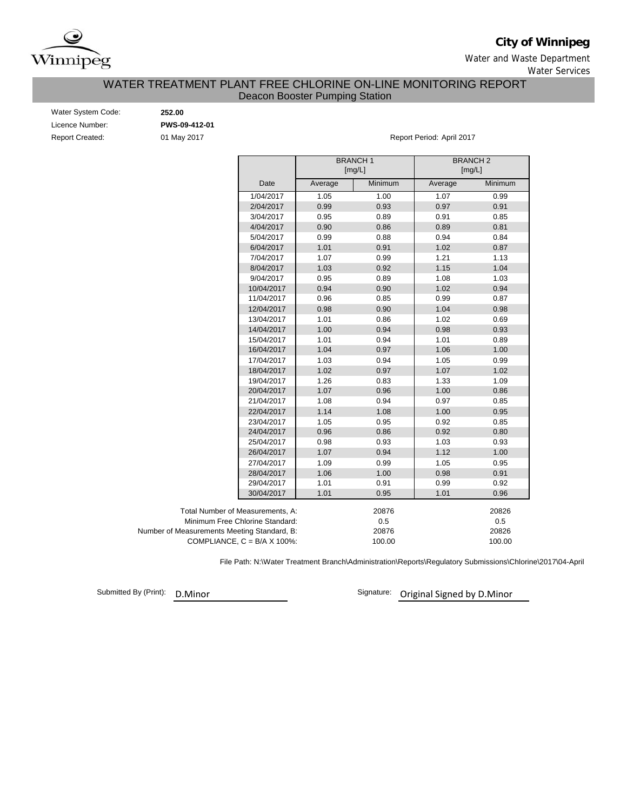

# **City of Winnipeg**

Water and Waste Department

Water Services

## WATER TREATMENT PLANT FREE CHLORINE ON-LINE MONITORING REPORT Deacon Booster Pumping Station

| Water System Code:     |  |
|------------------------|--|
| Licence Number:        |  |
| <b>Report Created:</b> |  |

Water System Code: **252.00** Licence Number: **PWS-09-412-01**

01 May 2017 **Report Period: April 2017** 

|                                             |         | <b>BRANCH1</b><br>[mg/L] |         | <b>BRANCH2</b><br>[mg/L] |
|---------------------------------------------|---------|--------------------------|---------|--------------------------|
| Date                                        | Average | Minimum                  | Average | Minimum                  |
| 1/04/2017                                   | 1.05    | 1.00                     | 1.07    | 0.99                     |
| 2/04/2017                                   | 0.99    | 0.93                     | 0.97    | 0.91                     |
| 3/04/2017                                   | 0.95    | 0.89                     | 0.91    | 0.85                     |
| 4/04/2017                                   | 0.90    | 0.86                     | 0.89    | 0.81                     |
| 5/04/2017                                   | 0.99    | 0.88                     | 0.94    | 0.84                     |
| 6/04/2017                                   | 1.01    | 0.91                     | 1.02    | 0.87                     |
| 7/04/2017                                   | 1.07    | 0.99                     | 1.21    | 1.13                     |
| 8/04/2017                                   | 1.03    | 0.92                     | 1.15    | 1.04                     |
| 9/04/2017                                   | 0.95    | 0.89                     | 1.08    | 1.03                     |
| 10/04/2017                                  | 0.94    | 0.90                     | 1.02    | 0.94                     |
| 11/04/2017                                  | 0.96    | 0.85                     | 0.99    | 0.87                     |
| 12/04/2017                                  | 0.98    | 0.90                     | 1.04    | 0.98                     |
| 13/04/2017                                  | 1.01    | 0.86                     | 1.02    | 0.69                     |
| 14/04/2017                                  | 1.00    | 0.94                     | 0.98    | 0.93                     |
| 15/04/2017                                  | 1.01    | 0.94                     | 1.01    | 0.89                     |
| 16/04/2017                                  | 1.04    | 0.97                     | 1.06    | 1.00                     |
| 17/04/2017                                  | 1.03    | 0.94                     | 1.05    | 0.99                     |
| 18/04/2017                                  | 1.02    | 0.97                     | 1.07    | 1.02                     |
| 19/04/2017                                  | 1.26    | 0.83                     | 1.33    | 1.09                     |
| 20/04/2017                                  | 1.07    | 0.96                     | 1.00    | 0.86                     |
| 21/04/2017                                  | 1.08    | 0.94                     | 0.97    | 0.85                     |
| 22/04/2017                                  | 1.14    | 1.08                     | 1.00    | 0.95                     |
| 23/04/2017                                  | 1.05    | 0.95                     | 0.92    | 0.85                     |
| 24/04/2017                                  | 0.96    | 0.86                     | 0.92    | 0.80                     |
| 25/04/2017                                  | 0.98    | 0.93                     | 1.03    | 0.93                     |
| 26/04/2017                                  | 1.07    | 0.94                     | 1.12    | 1.00                     |
| 27/04/2017                                  | 1.09    | 0.99                     | 1.05    | 0.95                     |
| 28/04/2017                                  | 1.06    | 1.00                     | 0.98    | 0.91                     |
| 29/04/2017                                  | 1.01    | 0.91                     | 0.99    | 0.92                     |
| 30/04/2017                                  | 1.01    | 0.95                     | 1.01    | 0.96                     |
| Total Number of Measurements, A:            |         | 20876                    |         | 20826                    |
| Minimum Free Chlorine Standard:             |         | 0.5                      |         | 0.5                      |
| Number of Measurements Meeting Standard, B: |         | 20876                    |         | 20826                    |
| COMPLIANCE, $C = B/A \times 100\%$ :        |         | 100.00                   |         | 100.00                   |

File Path: N:\Water Treatment Branch\Administration\Reports\Regulatory Submissions\Chlorine\2017\04-April

Submitted By (Print):

D.Minor Signature: Original Signed by D.Minor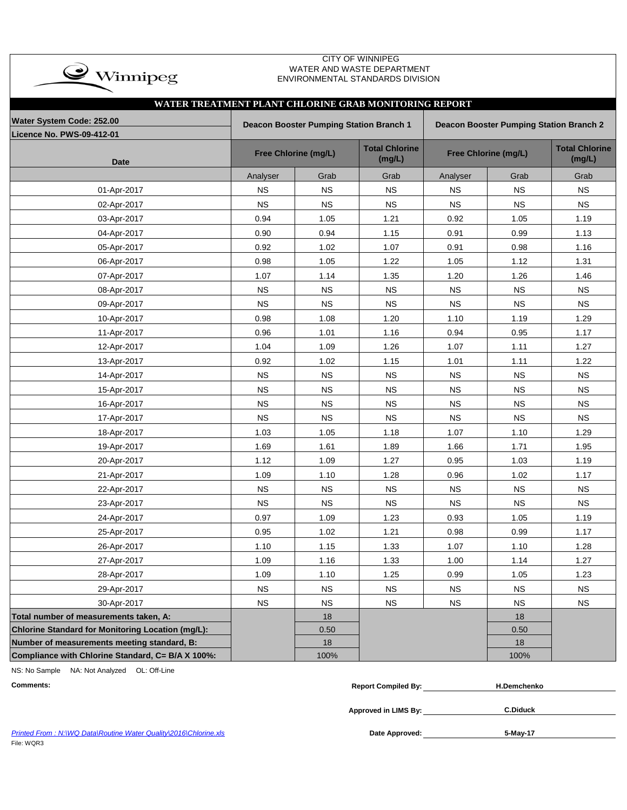| $\bullet$ Winnipeg                                |                                                       |                                         | WATER AND WASTE DEPARTMENT<br>ENVIRONMENTAL STANDARDS DIVISION |           |                                                |                                 |  |  |  |  |  |  |
|---------------------------------------------------|-------------------------------------------------------|-----------------------------------------|----------------------------------------------------------------|-----------|------------------------------------------------|---------------------------------|--|--|--|--|--|--|
|                                                   |                                                       |                                         |                                                                |           |                                                |                                 |  |  |  |  |  |  |
|                                                   | WATER TREATMENT PLANT CHLORINE GRAB MONITORING REPORT |                                         |                                                                |           |                                                |                                 |  |  |  |  |  |  |
| Water System Code: 252.00                         |                                                       | Deacon Booster Pumping Station Branch 1 |                                                                |           | <b>Deacon Booster Pumping Station Branch 2</b> |                                 |  |  |  |  |  |  |
| Licence No. PWS-09-412-01                         |                                                       |                                         |                                                                |           |                                                |                                 |  |  |  |  |  |  |
| <b>Date</b>                                       |                                                       | Free Chlorine (mg/L)                    | <b>Total Chlorine</b><br>(mg/L)                                |           | Free Chlorine (mg/L)                           | <b>Total Chlorine</b><br>(mg/L) |  |  |  |  |  |  |
|                                                   | Analyser                                              | Grab                                    | Grab                                                           | Analyser  | Grab                                           | Grab                            |  |  |  |  |  |  |
| 01-Apr-2017                                       | <b>NS</b>                                             | <b>NS</b>                               | $_{\rm NS}$                                                    | <b>NS</b> | <b>NS</b>                                      | <b>NS</b>                       |  |  |  |  |  |  |
| 02-Apr-2017                                       | <b>NS</b>                                             | <b>NS</b>                               | <b>NS</b>                                                      | <b>NS</b> | <b>NS</b>                                      | <b>NS</b>                       |  |  |  |  |  |  |
| 03-Apr-2017                                       | 0.94                                                  | 1.05                                    | 1.21                                                           | 0.92      | 1.05                                           | 1.19                            |  |  |  |  |  |  |
| 04-Apr-2017                                       | 0.90                                                  | 0.94                                    | 1.15                                                           | 0.91      | 0.99                                           | 1.13                            |  |  |  |  |  |  |
| 05-Apr-2017                                       | 0.92                                                  | 1.02                                    | 1.07                                                           | 0.91      | 0.98                                           | 1.16                            |  |  |  |  |  |  |
| 06-Apr-2017                                       | 0.98                                                  | 1.05                                    | 1.22                                                           | 1.05      | 1.12                                           | 1.31                            |  |  |  |  |  |  |
| 07-Apr-2017                                       | 1.07                                                  | 1.14                                    | 1.35                                                           | 1.20      | 1.26                                           | 1.46                            |  |  |  |  |  |  |
| 08-Apr-2017                                       | <b>NS</b>                                             | <b>NS</b>                               | <b>NS</b>                                                      | <b>NS</b> | <b>NS</b>                                      | <b>NS</b>                       |  |  |  |  |  |  |
| 09-Apr-2017                                       | <b>NS</b>                                             | <b>NS</b>                               | <b>NS</b>                                                      | <b>NS</b> | <b>NS</b>                                      | <b>NS</b>                       |  |  |  |  |  |  |
| 10-Apr-2017                                       | 0.98                                                  | 1.08                                    | 1.20                                                           | 1.10      | 1.19                                           | 1.29                            |  |  |  |  |  |  |
| 11-Apr-2017                                       | 0.96                                                  | 1.01                                    | 1.16                                                           | 0.94      | 0.95                                           | 1.17                            |  |  |  |  |  |  |
| 12-Apr-2017                                       | 1.04                                                  | 1.09                                    | 1.26                                                           | 1.07      | 1.11                                           | 1.27                            |  |  |  |  |  |  |
| 13-Apr-2017                                       | 0.92                                                  | 1.02                                    | 1.15                                                           | 1.01      | 1.11                                           | 1.22                            |  |  |  |  |  |  |
| 14-Apr-2017                                       | <b>NS</b>                                             | <b>NS</b>                               | <b>NS</b>                                                      | <b>NS</b> | <b>NS</b>                                      | <b>NS</b>                       |  |  |  |  |  |  |
| 15-Apr-2017                                       | <b>NS</b>                                             | <b>NS</b>                               | NS                                                             | <b>NS</b> | <b>NS</b>                                      | <b>NS</b>                       |  |  |  |  |  |  |
| 16-Apr-2017                                       | <b>NS</b>                                             | <b>NS</b>                               | <b>NS</b>                                                      | <b>NS</b> | <b>NS</b>                                      | <b>NS</b>                       |  |  |  |  |  |  |
| 17-Apr-2017                                       | <b>NS</b>                                             | <b>NS</b>                               | <b>NS</b>                                                      | <b>NS</b> | <b>NS</b>                                      | <b>NS</b>                       |  |  |  |  |  |  |
| 18-Apr-2017                                       | 1.03                                                  | 1.05                                    | 1.18                                                           | 1.07      | 1.10                                           | 1.29                            |  |  |  |  |  |  |
| 19-Apr-2017                                       | 1.69                                                  | 1.61                                    | 1.89                                                           | 1.66      | 1.71                                           | 1.95                            |  |  |  |  |  |  |
| 20-Apr-2017                                       | 1.12                                                  | 1.09                                    | 1.27                                                           | 0.95      | 1.03                                           | 1.19                            |  |  |  |  |  |  |
| 21-Apr-2017                                       | 1.09                                                  | 1.10                                    | 1.28                                                           | 0.96      | 1.02                                           | 1.17                            |  |  |  |  |  |  |
| 22-Apr-2017                                       | <b>NS</b>                                             | <b>NS</b>                               | <b>NS</b>                                                      | <b>NS</b> | <b>NS</b>                                      | <b>NS</b>                       |  |  |  |  |  |  |
| 23-Apr-2017                                       | <b>NS</b>                                             | <b>NS</b>                               | <b>NS</b>                                                      | <b>NS</b> | <b>NS</b>                                      | <b>NS</b>                       |  |  |  |  |  |  |
| 24-Apr-2017                                       | 0.97                                                  | 1.09                                    | 1.23                                                           | 0.93      | 1.05                                           | 1.19                            |  |  |  |  |  |  |
| 25-Apr-2017                                       | 0.95                                                  | 1.02                                    | 1.21                                                           | 0.98      | 0.99                                           | 1.17                            |  |  |  |  |  |  |
| 26-Apr-2017                                       | 1.10                                                  | 1.15                                    | 1.33                                                           | 1.07      | 1.10                                           | 1.28                            |  |  |  |  |  |  |
| 27-Apr-2017                                       | 1.09                                                  | 1.16                                    | 1.33                                                           | 1.00      | 1.14                                           | 1.27                            |  |  |  |  |  |  |
| 28-Apr-2017                                       | 1.09                                                  | 1.10                                    | 1.25                                                           | 0.99      | 1.05                                           | 1.23                            |  |  |  |  |  |  |
| 29-Apr-2017                                       | <b>NS</b>                                             | ${\sf NS}$                              | $_{\rm NS}$                                                    | NS        | $_{\rm NS}$                                    | <b>NS</b>                       |  |  |  |  |  |  |
| 30-Apr-2017                                       | <b>NS</b>                                             | <b>NS</b>                               | <b>NS</b>                                                      | <b>NS</b> | <b>NS</b>                                      | <b>NS</b>                       |  |  |  |  |  |  |
| Total number of measurements taken, A:            |                                                       | 18                                      |                                                                |           | 18                                             |                                 |  |  |  |  |  |  |
| Chlorine Standard for Monitoring Location (mg/L): |                                                       | 0.50                                    |                                                                |           | 0.50                                           |                                 |  |  |  |  |  |  |
| Number of measurements meeting standard, B:       |                                                       | 18                                      |                                                                |           | 18                                             |                                 |  |  |  |  |  |  |
| Compliance with Chlorine Standard, C= B/A X 100%: |                                                       | 100%                                    |                                                                |           | 100%                                           |                                 |  |  |  |  |  |  |

CITY OF WINNIPEG

NS: No Sample NA: Not Analyzed OL: Off-Line

 $\overline{\phantom{0}}$ 

| <b>Comments</b> | …omniled Bv<br>Renori | าchenko |
|-----------------|-----------------------|---------|
|-----------------|-----------------------|---------|

**C.Diduck**

Printed From : N:\WQ Data\Routine Water Quality\2016\Chlorine.xls **Date Approved:** Date Approved: File: WQR3

**Approved in LIMS By:**

**5-May-17**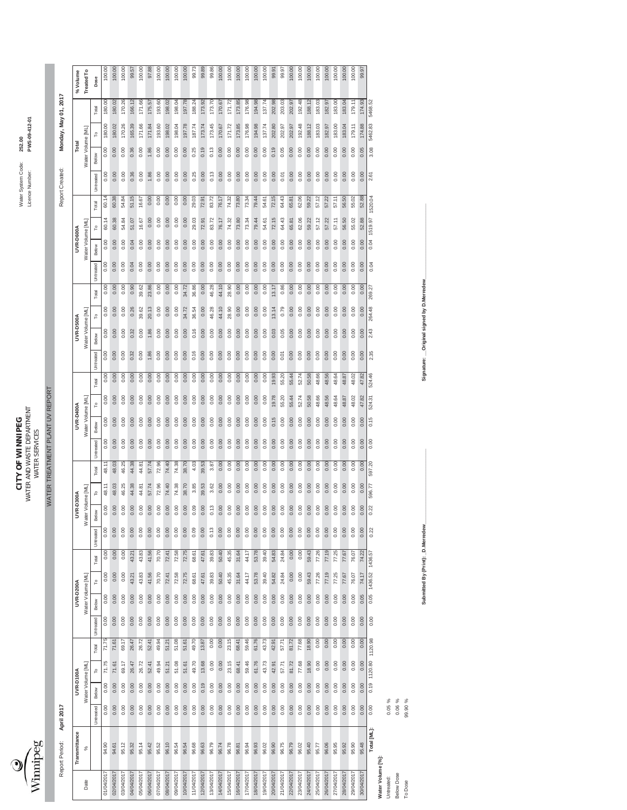

WATER AND WASTE DEPARTMENT Licence Number: **PWS-09-412-01 CITY OF WINNIPEG** Water System Code: **252.00 CITY OF WINNIPEG**<br>WATER AND WASTE DEPARTMENT<br>WATER SERVICES WATER SERVICES

Monday, May 01, 2017

Report Created:

Report Period: April 2017

WATER TREATMENT PLANT UV REPORT WATER TREATMENT PLANT UV REPORT

Report Period: **April 2017** Report Created: **Monday, May 01, 2017**

|                  | Transmittance |                                |       | UVR-D100A         |         |           | <b>UVR-D200A</b> |         |         |           | UVR-D300A         |        |        |                    | UVR-D400A         |        |               |       | UVR-D500A         |        |           | UVR-D600A        |         |         |           | Total             |         |             | % Volume   |
|------------------|---------------|--------------------------------|-------|-------------------|---------|-----------|------------------|---------|---------|-----------|-------------------|--------|--------|--------------------|-------------------|--------|---------------|-------|-------------------|--------|-----------|------------------|---------|---------|-----------|-------------------|---------|-------------|------------|
| Date             | %             |                                |       | Water Volume [ML] |         |           | Water Volume [MI |         |         |           | Vater Volume [ML] |        |        |                    | Water Volume [ML] |        |               |       | Water Volume [ML] |        |           | Water Volume IML |         |         |           | Water Volume [ML] |         |             | Treated To |
|                  |               | <b><i><u>Jntreated</u></i></b> | Below | P                 | Total   | Untreated | Below            | م       | Total   | Untreated | Below             | ء      | Total  | Below<br>Untreated | P                 | Total  | Untreated     | Below | ۴                 | Total  | Untreated | Below            | ٩       | Total   | Untreated | Below             | ء       | Total       | Dose       |
| 01/04/201        | 94.90         | 0.00                           | 0.00  | 71.75             | 71.75   | 0.00      | 0.00             | 0.00    | 0.00    | 0.00      | 0.00              | 48.11  | 48.11  | 0.00               | 0.00              | 0.00   | 0.00<br>0.00  | 0.00  | 0.00              | 0.00   | 0.00      | 0.00             | 60.14   | 60.14   | 0.00      | 0.00              | 180.00  | 180.00      | 100.00     |
| 02/04/2017       | 94.61         | 0.00                           | 0.00  | 71.61             | 71.61   | 0.00      | 0.00             | 0.00    | 0.00    | 0.00      | 0.00              | 48.03  | 48.03  | 0.00               | 0.00              | 0.00   | 0.00<br>0.00  | 0.00  | 0.00              | 0.00   | 0.00      | 0.00             | 60.38   | 60.38   | 0.00      | 0.00              | 180.02  | 180.02      | 100.00     |
| 03/04/201        | 95.12         | 0.00                           | 0.00  | 69.17             | 69.17   | 0.00      | 0.00             | 0.00    | 0.00    | 0.00      | 0.00              | 46.25  | 46.25  | 0.00               | 0.00              | 0.00   | 0.00<br>0.00  | 0.00  | 0.00              | 0.00   | 0.00      | 0.00             | 54.84   | 54.84   | 0.00      | 0.00              | 170.26  | 170.26      | 100.00     |
| 04/04/2017       | 95.32         | 0.00                           | 0.00  | 26.47             | 26.47   | 0.00      | 0.00             | 43.21   | 43.21   | 0.00      | 0.00              | 44.38  | 44.38  | 0.00               | 0.00              | 0.00   | 0.32<br>0.00  | 0.32  | 0.26              | 0.90   | 0.04      | 0.04             | 51.07   | 51.15   | 0.36      | 0.36              | 165.39  | 166.12      | 99.57      |
| 05/04/201        | 95.14         | 0.00                           | 0.00  | 26.72             | 26.72   | 0.00      | 0.00             | 43.83   | 43.83   | 0.00      | 0.00              | 44.81  | 44.81  | 0.00               | 0.00              | 0.00   | 0.00<br>0.00  | 0.00  | 39.62             | 39.62  | 0.00      | 0.00             | 16.67   | 16.67   | 0.00      | 0.00              | 171.66  | 171.66      | 100.00     |
| 06/04/201        | 95.42         | 0.00                           | 0.00  | 52.41             | 52.41   | 0.00      | 0.00             | 41.56   | 41.56   | 0.00      | 0.00              | 57.74  | 57.74  | 0.00               | 0.00              | 0.00   | 1.86<br>0.00  | 1.86  | 20.13             | 23.86  | 0.00      | 0.00             | 0.00    | 0.00    | 1.86      | 1.86              | 171.84  | 175.57      | 97.88      |
| 07/04/201        | 95.52         | 0.00                           | 0.00  | 49.94             | 49.94   | 0.00      | 0.00             | 70.70   | 70.70   | 0.00      | 0.00              | 72.96  | 72.96  | 0.00               | 0.00              | 0.00   | 0.00<br>0.00  | 0.00  | 0.00              | 0.00   | 0.00      | 0.00             | 0.00    | 0.00    | 0.00      | 0.00              | 193.60  | 193.60      | 100.00     |
| 08/04/201        | 96.10         | 0.00                           | 0.00  | 51.21             | 51.21   | 0.00      | 0.00             | 72.41   | 72.41   | 0.00      | 0.00              | 74.40  | 74.40  | 0.00               | 0.00              | 0.00   | 0.00<br>0.00  | 0.00  | 0.00              | 0.00   | 0.00      | 0.00             | 0.00    | 0.00    | 0.00      | 0.00              | 198.02  | 198.02      | 100.00     |
| 09/04/201        | 96.54         | 0.00                           | 0.00  | 51.08             | 51.08   | 0.00      | 0.00             | 72.58   | 72.58   | 0.00      | 0.00              | 74.38  | 74.38  | 0.00               | 0.00              | 0.00   | 0.00<br>0.00  | 0.00  | 0.00              | 0.00   | 0.00      | 0.00             | 0.00    | 0.00    | 0.00      | 0.00              | 198.04  | 198.04      | 100.00     |
| 10/04/201        | 96.54         | 0.00                           | 0.00  | 51.61             | 51.61   | 0.00      | 0.00             | 72.75   | 72.75   | 0.00      | 0.00              | 38.70  | 38.70  | 0.00               | 0.00              | 0.00   | 0.00<br>0.00  | 0.00  | 34.72             | 34.72  | 0.00      | 0.00             | 0.00    | 0.00    | 0.00      | 0.00              | 197.78  | 197.78      | 100.00     |
| 11/04/201        | 96.68         | 0.00                           | 0.00  | 49.70             | 49.70   | 0.00      | 0.00             | 68.61   | 68.61   | 0.09      | 0.09              | 3.85   | 4.03   | 0.00               | 0.00              | 0.00   | 0.16<br>0.00  | 0.16  | 36.54             | 36.86  | 0.00      | 0.00             | 29.03   | 29.03   | 0.25      | 0.25              | 187.74  | 188.24      | 99.73      |
| 12/04/201        | 96.63         | 0.00                           | 0.19  | 13.68             | 13.87   | 0.00      | 0.00             | 47.61   | 47.61   | 0.00      | 0.00              | 39.53  | 39.53  | 0.00               | 0.00              | 0.00   | 0.00<br>0.00  | 0.00  | 0.00              | 0.00   | 0.00      | 0.00             | 72.91   | 72.91   | 0.00      | 0.19              | 173.74  | 173.92      | 99.89      |
| 13/04/2017       | 96.79         | 0.00                           | 0.00  | 0.00              | 0.00    | 0.00      | 0.00             | 39.83   | 39.83   | 0.13      | 0.13              | 3.62   | 3.87   | 0.00               | 0.00              | 0.00   | 0.00<br>0.00  | 0.00  | 46.28             | 46.28  | 0.00      | 0.00             | 83.72   | 83.72   | 0.13      | 0.13              | 173.45  | 173.70      | 99.86      |
| 14/04/2017       | 96.74         | 0.00                           | 0.00  | 0.00              | 0.00    | 0.00      | 0.00             | 50.40   | 50.40   | 0.00      | 0.00              | 0.00   | 0.00   | 0.00               | 0.00              | 0.00   | 0.00<br>0.00  | 0.00  | 44.10             | 44.10  | 0.00      | 0.00             | 76.17   | 76.17   | 0.00      | 0.00              | 170.67  | 170.67      | 100.00     |
| 15/04/2017       | 96.78         | 0.00                           | 0.00  | 23.15             | 23.15   | 0.00      | 0.00             | 45.35   | 45.35   | 0.00      | 0.00              | 0.00   | 0.00   | 0.00               | 0.00              | 0.00   | 0.00<br>0.00  | 0.00  | 28.90             | 28.90  | 0.00      | 0.00             | 74.32   | 74.32   | 0.00      | 0.00              | 171.72  | 171.72      | 100.00     |
| 16/04/2017       | 96.81         | 0.00                           | 0.00  | 68.41             | 68.41   | 0.00      | 0.00             | 31.64   | 31.64   | 0.00      | 0.00              | 0.00   | 0.00   | 0.00               | 0.00              | 0.00   | 0.00<br>0.00  | 0.00  | 0.00              | 0.00   | 0.00      | 0.00             | 73.80   | 73.80   | 0.00      | 0.00              | 173.85  | 173.85      | 100.00     |
| 17/04/201        | 96.94         | 0.00                           | 0.00  | 59.46             | 59.46   | 0.00      | 0.00             | 44.17   | 44.17   | 0.00      | 0.00              | 0.00   | 0.00   | 0.00               | 0.00              | 0.00   | 0.00<br>0.00  | 0.00  | 0.00              | 0.00   | 0.00      | 0.00             | 73.34   | 73.34   | 0.00      | 0.00              | 176.98  | 176.98      | 100.00     |
| 18/04/201        | 96.93         | 0.00                           | 0.00  | 61.76             | 61.76   | 0.00      | 0.00             | 53.78   | 53.78   | 0.00      | 0.00              | 0.00   | 0.00   | 0.00               | 0.00              | 0.00   | 0.00<br>0.00  | 0.00  | 0.00              | 0.00   | 0.00      | 0.00             | 79.44   | 79.44   | 0.00      | 0.00              | 194.98  | 194.98      | 100.00     |
| 19/04/201        | 96.02         | 0.00                           | 0.00  | 43.73             | 43.73   | 0.00      | 0.00             | 39.40   | 39.40   | 0.00      | 0.00              | 0.00   | 0.00   | 0.00               | 0.00              | 0.00   | 0.00<br>0.00  | 0.00  | 0.00              | 0.00   | 0.00      | 0.00             | 54.61   | 54.61   | 0.00      | 0.00              | 137.74  | 137.74      | 100.00     |
| 20/04/201        | 96.90         | 0.00                           | 0.00  | 42.91             | 42.91   | 0.00      | 0.00             | 54.82   | 54.83   | 0.00      | 0.00              | 0.00   | 0.00   | 0.00               | 0.15              | 19.78  | 0.00<br>19.93 | 0.03  | 13.14             | 13.17  | 0.00      | 0.00             | 72.15   | 72.15   | 0.00      | 0.19              | 202.80  | 202.98      | 99.91      |
| 21/04/201        | 96.75         | 0.00                           | 0.00  | 57.71             | 57.71   | 0.00      | 0.00             | 24.84   | 24.84   | 0.00      | 0.00              | 0.00   | 0.00   | 0.00               | 0.00              | 55.20  | 0.01<br>55.20 | 0.05  | 0.79              | 0.86   | 0.00      | 0.00             | 64.43   | 64.43   | 0.01      | 0.05              | 202.97  | 203.03      | 99.97      |
| 22/04/201        | 96.79         | 0.00                           | 0.00  | 81.72             | 81.72   | 0.00      | 0.00             | 0.00    | 0.00    | 0.00      | 0.00              | 0.00   | 0.00   | 0.00               | 0.00              | 55.44  | 0.00<br>55.44 | 0.00  | 0.00              | 0.00   | 0.00      | 0.00             | 65.81   | 65.81   | 0.00      | 0.00              | 202.97  | 202.97      | 100.00     |
| 23/04/201        | 96.02         | 0.00                           | 0.00  | 77.68             | 77.68   | 0.00      | 0.00             | 0.00    | 0.00    | 0.00      | 0.00              | 0.00   | 0.00   | 0.00               | 0.00              | 52.74  | 0.00<br>52.74 | 0.00  | 0.00              | 0.00   | 0.00      | 0.00             | 62.06   | 62.06   | 0.00      | 0.00              | 192.48  | 192.48      | 100.00     |
| 24/04/2017       | 95.40         | 0.00                           | 0.00  | 18.90             | 18.90   | 0.00      | 0.00             | 59.43   | 59.43   | 0.00      | 0.00              | 0.00   | 0.00   | 0.00               | 0.00              | 50.58  | 0.00<br>50.58 | 0.00  | 0.00              | 0.00   | 0.00      | 0.00             | 59.22   | 59.22   | 0.00      | 0.00              | 188.12  | 188.12      | 100.00     |
| 25/04/2017       | 95.77         | 0.00                           | 0.00  | 0.00              | 0.00    | 0.00      | 0.00             | 77.26   | 77.26   | 0.00      | 0.00              | 0.00   | 0.00   | 0.00               | 0.00              | 48.66  | 0.00<br>48.66 | 0.00  | 0.00              | 0.00   | 0.00      | 0.00             | 57.12   | 57.12   | 0.00      | 0.00              | 183.03  | 183.03      | 100.00     |
| 26/04/2017       | 96.06         | 0.00                           | 0.00  | 0.00              | 0.00    | 0.00      | 0.00             | 77.19   | 77.19   | 0.00      | 0.00              | 0.00   | 0.00   | 0.00               | 0.00              | 48.56  | 0.00<br>48.56 | 0.00  | 0.00              | 0.00   | 0.00      | 0.00             | 57.22   | 57.22   | 0.00      | 0.00              | 182.97  | 182.97      | 100.00     |
| 27/04/2017       | 95.95         | 0.00                           | 0.00  | 0.00              | 0.00    | 0.00      | 0.00             | 77.25   | 77.25   | 0.00      | 0.00              | 0.00   | 0.00   | 0.00               | 0.00              | 48.64  | 0.00<br>48.64 | 0.00  | 0.00              | 0.00   | 0.00      | 0.00             | 57.11   | 57.11   | 0.00      | 0.00              | 183.00  | 183.00      | 100.00     |
| 28/04/2017       | 95.92         | 0.00                           | 0.00  | 0.00              | 0.00    | 0.00      | 0.00             | 77.67   | 77.67   | 0.00      | 0.00              | 0.00   | 0.00   | 0.00               | 0.00              | 48.87  | 0.00<br>48.87 | 0.00  | 0.00              | 0.00   | 0.00      | 0.00             | 56.50   | 56.50   | 0.00      | 0.00              | 183.04  | 183.04      | 100.00     |
| 29/04/2017       | 95.90         | 0.00                           | 0.00  | 0.00              | 0.00    | 0.00      | 0.00             | 76.07   | 76.07   | 0.00      | 0.00              | 0.00   | 0.00   | 0.00               | 0.00              | 48.02  | 0.00<br>48.02 | 0.00  | 0.00              | 0.00   | 0.00      | 0.00             | 55.02   | 55.02   | 0.00      | 0.00              | 179.11  | 179.11      | 100.00     |
| 30/04/2017       | 95.48         | 0.00                           | 0.00  | 0.00              | 0.00    | 0.00      | 0.05             | 74.17   | 74.22   | 0.00      | 0.00              | 0.00   | 0.00   | 0.00               | 0.00              | 47.82  | 0.00<br>47.82 | 0.00  | 0.00              | 0.00   | 0.00      | 0.00             | 52.88   | 52.88   | 0.00      | 0.05              | 174.88  | 174.93      | 99.97      |
|                  | Total [ML]:   | 0.00                           |       | 0.19 1120.80      | 1120.98 | 0.00      | 0.05             | 1436.52 | 1436.57 | 0.22      | 0.22              | 596.77 | 597.20 | 0.00               | 524.31<br>0.15    | 524.46 | 2.35          | 2.43  | 264.48            | 269.27 | 0.04      | 0.04             | 1519.97 | 1520.04 | 2.61      | 3.08              | 5462.83 | 5S<br>5468. |            |
| Water Volume [%] |               |                                |       |                   |         |           |                  |         |         |           |                   |        |        |                    |                   |        |               |       |                   |        |           |                  |         |         |           |                   |         |             |            |
| Untreated:       |               | 0.05%                          |       |                   |         |           |                  |         |         |           |                   |        |        |                    |                   |        |               |       |                   |        |           |                  |         |         |           |                   |         |             |            |

0.06 % 99.90 %

Below Dose Below Dose<br>To Dose **Submitted By (Print): \_D.Merredew\_\_\_\_\_\_\_\_\_\_\_\_\_\_\_\_\_\_\_\_\_\_\_\_\_\_\_\_ Signature: \_\_Original signed by D.Merredew\_\_\_\_\_\_\_\_\_\_\_\_\_\_\_\_\_\_\_\_\_\_\_\_\_\_\_\_**

Submitted By (Print): \_D.Merredew\_

Signature: \_\_Original signed by D.Merredew\_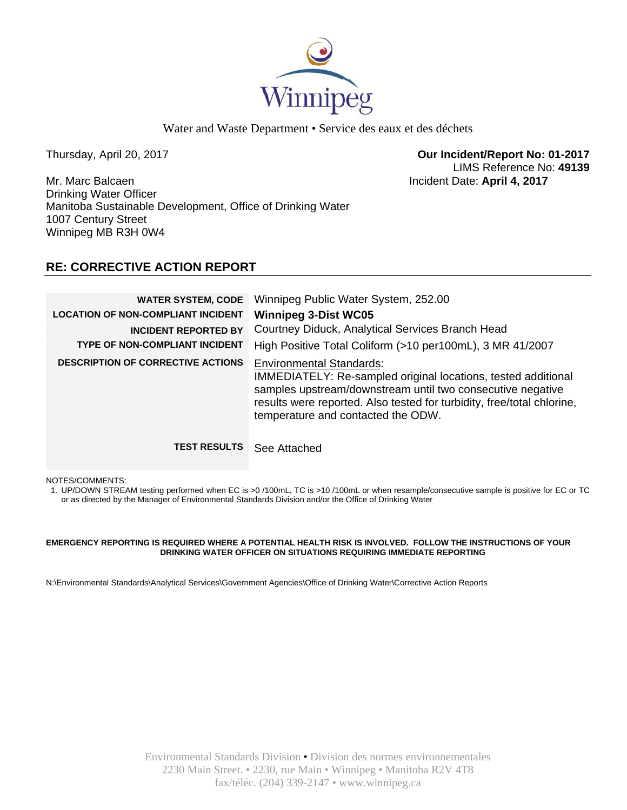

Water and Waste Department • Service des eaux et des déchets

Thursday, April 20, 2017 **Our Incident/Report No: 01-2017**  LIMS Reference No: **49139**

Mr. Marc Balcaen Incident Date: **April 4, 2017**  Drinking Water Officer Manitoba Sustainable Development, Office of Drinking Water 1007 Century Street Winnipeg MB R3H 0W4

# **RE: CORRECTIVE ACTION REPORT**

| <b>WATER SYSTEM, CODE</b><br><b>LOCATION OF NON-COMPLIANT INCIDENT</b><br><b>INCIDENT REPORTED BY</b> | Winnipeg Public Water System, 252.00<br><b>Winnipeg 3-Dist WC05</b><br>Courtney Diduck, Analytical Services Branch Head                                                                                                                                                        |
|-------------------------------------------------------------------------------------------------------|--------------------------------------------------------------------------------------------------------------------------------------------------------------------------------------------------------------------------------------------------------------------------------|
| <b>TYPE OF NON-COMPLIANT INCIDENT</b>                                                                 | High Positive Total Coliform (>10 per100mL), 3 MR 41/2007                                                                                                                                                                                                                      |
| <b>DESCRIPTION OF CORRECTIVE ACTIONS</b>                                                              | <b>Environmental Standards:</b><br>IMMEDIATELY: Re-sampled original locations, tested additional<br>samples upstream/downstream until two consecutive negative<br>results were reported. Also tested for turbidity, free/total chlorine,<br>temperature and contacted the ODW. |
| <b>TEST RESULTS</b>                                                                                   | See Attached                                                                                                                                                                                                                                                                   |

NOTES/COMMENTS:

1. UP/DOWN STREAM testing performed when EC is >0 /100mL, TC is >10 /100mL or when resample/consecutive sample is positive for EC or TC or as directed by the Manager of Environmental Standards Division and/or the Office of Drinking Water

#### **EMERGENCY REPORTING IS REQUIRED WHERE A POTENTIAL HEALTH RISK IS INVOLVED. FOLLOW THE INSTRUCTIONS OF YOUR DRINKING WATER OFFICER ON SITUATIONS REQUIRING IMMEDIATE REPORTING**

N:\Environmental Standards\Analytical Services\Government Agencies\Office of Drinking Water\Corrective Action Reports